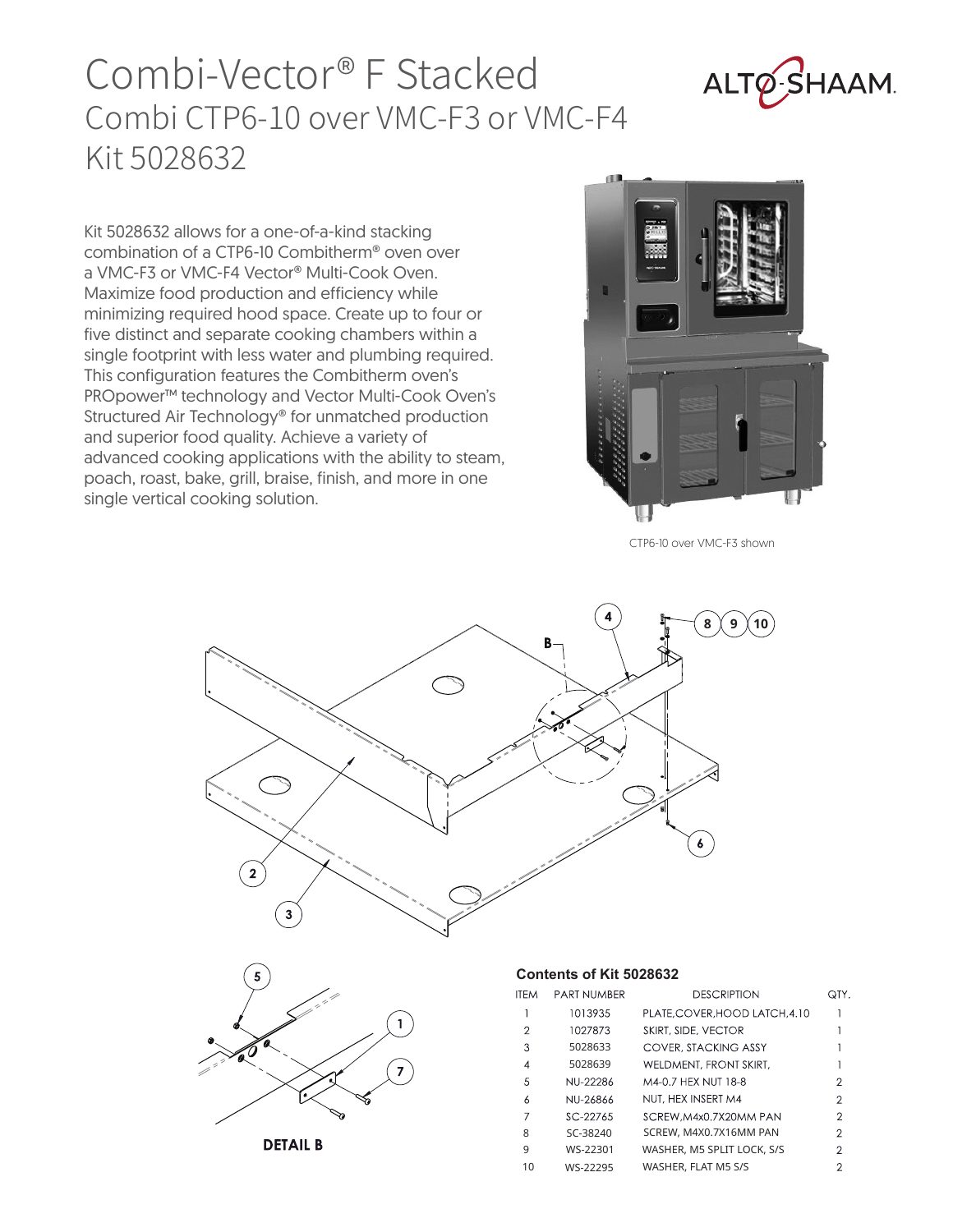## Combi-Vector® F Stacked Combi CTP6-10 over VMC-F3 or VMC-F4 Kit 5028632



Kit 5028632 allows for a one-of-a-kind stacking combination of a CTP6-10 Combitherm® oven over a VMC-F3 or VMC-F4 Vector® Multi-Cook Oven. Maximize food production and efficiency while minimizing required hood space. Create up to four or five distinct and separate cooking chambers within a single footprint with less water and plumbing required. This configuration features the Combitherm oven's PROpower™ technology and Vector Multi-Cook Oven's Structured Air Technology® for unmatched production and superior food quality. Achieve a variety of advanced cooking applications with the ability to steam, poach, roast, bake, grill, braise, finish, and more in one single vertical cooking solution.



CTP6-10 over VMC-F3 shown





```
DETAIL B
```
## **Contents of Kit 5028632**

| TEM | <b>PART NUMBER</b> | <b>DESCRIPTION</b>             | QTY.           |
|-----|--------------------|--------------------------------|----------------|
|     | 1013935            | PLATE, COVER, HOOD LATCH, 4.10 |                |
| 2   | 1027873            | SKIRT, SIDE, VECTOR            |                |
| 3   | 5028633            | COVER, STACKING ASSY           |                |
| 4   | 5028639            | WELDMENT, FRONT SKIRT,         |                |
| 5   | NU-22286           | M4-0.7 HEX NUT 18-8            | 2              |
| 6   | NU-26866           | NUT. HEX INSERT M4             | $\mathbf{2}$   |
| 7   | SC-22765           | SCREW.M4x0.7X20MM PAN          | 2              |
| 8   | SC-38240           | SCREW. M4X0.7X16MM PAN         | $\overline{2}$ |
| 9   | WS-22301           | WASHER, M5 SPLIT LOCK, S/S     | 2              |
| 10  | WS-22295           | WASHER, FLAT M5 S/S            | 2              |